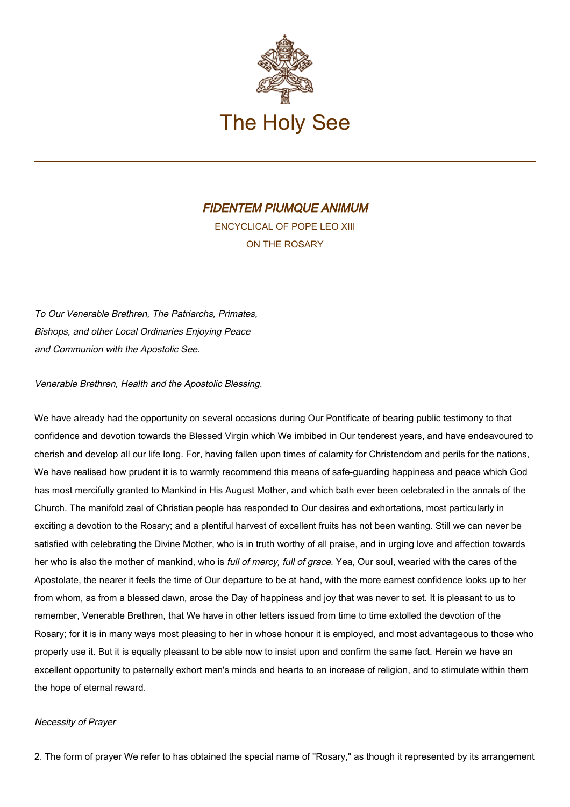

# FIDENTEM PIUMQUE ANIMUM

ENCYCLICAL OF POPE LEO XIII ON THE ROSARY

To Our Venerable Brethren, The Patriarchs, Primates, Bishops, and other Local Ordinaries Enjoying Peace and Communion with the Apostolic See.

Venerable Brethren, Health and the Apostolic Blessing.

We have already had the opportunity on several occasions during Our Pontificate of bearing public testimony to that confidence and devotion towards the Blessed Virgin which We imbibed in Our tenderest years, and have endeavoured to cherish and develop all our life long. For, having fallen upon times of calamity for Christendom and perils for the nations, We have realised how prudent it is to warmly recommend this means of safe-guarding happiness and peace which God has most mercifully granted to Mankind in His August Mother, and which bath ever been celebrated in the annals of the Church. The manifold zeal of Christian people has responded to Our desires and exhortations, most particularly in exciting a devotion to the Rosary; and a plentiful harvest of excellent fruits has not been wanting. Still we can never be satisfied with celebrating the Divine Mother, who is in truth worthy of all praise, and in urging love and affection towards her who is also the mother of mankind, who is full of mercy, full of grace. Yea, Our soul, wearied with the cares of the Apostolate, the nearer it feels the time of Our departure to be at hand, with the more earnest confidence looks up to her from whom, as from a blessed dawn, arose the Day of happiness and joy that was never to set. It is pleasant to us to remember, Venerable Brethren, that We have in other letters issued from time to time extolled the devotion of the Rosary; for it is in many ways most pleasing to her in whose honour it is employed, and most advantageous to those who properly use it. But it is equally pleasant to be able now to insist upon and confirm the same fact. Herein we have an excellent opportunity to paternally exhort men's minds and hearts to an increase of religion, and to stimulate within them the hope of eternal reward.

## Necessity of Prayer

2. The form of prayer We refer to has obtained the special name of "Rosary," as though it represented by its arrangement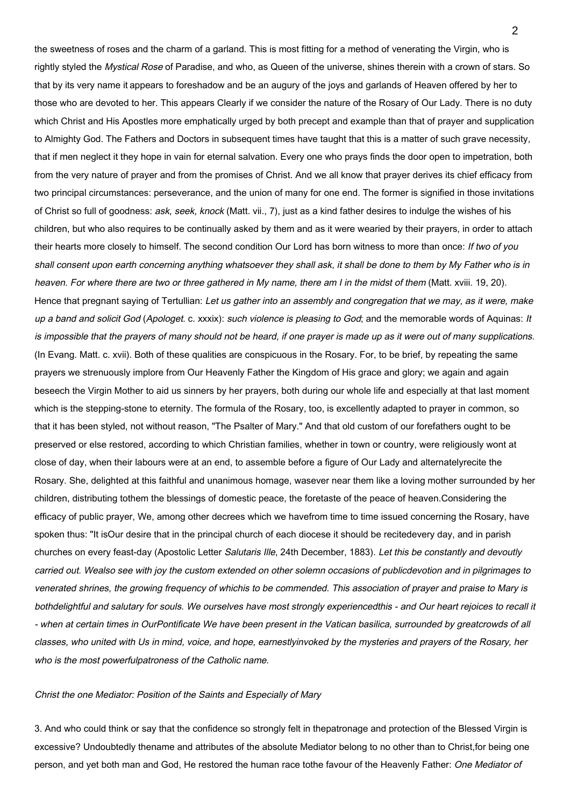the sweetness of roses and the charm of a garland. This is most fitting for a method of venerating the Virgin, who is rightly styled the Mystical Rose of Paradise, and who, as Queen of the universe, shines therein with a crown of stars. So that by its very name it appears to foreshadow and be an augury of the joys and garlands of Heaven offered by her to those who are devoted to her. This appears Clearly if we consider the nature of the Rosary of Our Lady. There is no duty which Christ and His Apostles more emphatically urged by both precept and example than that of prayer and supplication to Almighty God. The Fathers and Doctors in subsequent times have taught that this is a matter of such grave necessity, that if men neglect it they hope in vain for eternal salvation. Every one who prays finds the door open to impetration, both from the very nature of prayer and from the promises of Christ. And we all know that prayer derives its chief efficacy from two principal circumstances: perseverance, and the union of many for one end. The former is signified in those invitations of Christ so full of goodness: ask, seek, knock (Matt. vii., 7), just as a kind father desires to indulge the wishes of his children, but who also requires to be continually asked by them and as it were wearied by their prayers, in order to attach their hearts more closely to himself. The second condition Our Lord has born witness to more than once: If two of you shall consent upon earth concerning anything whatsoever they shall ask, it shall be done to them by My Father who is in heaven. For where there are two or three gathered in My name, there am I in the midst of them (Matt. xviii. 19, 20). Hence that pregnant saying of Tertullian: Let us gather into an assembly and congregation that we may, as it were, make up a band and solicit God (Apologet. c. xxxix): such violence is pleasing to God; and the memorable words of Aquinas: It is impossible that the prayers of many should not be heard, if one prayer is made up as it were out of many supplications. (In Evang. Matt. c. xvii). Both of these qualities are conspicuous in the Rosary. For, to be brief, by repeating the same prayers we strenuously implore from Our Heavenly Father the Kingdom of His grace and glory; we again and again beseech the Virgin Mother to aid us sinners by her prayers, both during our whole life and especially at that last moment which is the stepping-stone to eternity. The formula of the Rosary, too, is excellently adapted to prayer in common, so that it has been styled, not without reason, "The Psalter of Mary." And that old custom of our forefathers ought to be preserved or else restored, according to which Christian families, whether in town or country, were religiously wont at close of day, when their labours were at an end, to assemble before a figure of Our Lady and alternatelyrecite the Rosary. She, delighted at this faithful and unanimous homage, wasever near them like a loving mother surrounded by her children, distributing tothem the blessings of domestic peace, the foretaste of the peace of heaven.Considering the efficacy of public prayer, We, among other decrees which we havefrom time to time issued concerning the Rosary, have spoken thus: "It isOur desire that in the principal church of each diocese it should be recitedevery day, and in parish churches on every feast-day (Apostolic Letter Salutaris Ille, 24th December, 1883). Let this be constantly and devoutly carried out. Wealso see with joy the custom extended on other solemn occasions of publicdevotion and in pilgrimages to venerated shrines, the growing frequency of whichis to be commended. This association of prayer and praise to Mary is bothdelightful and salutary for souls. We ourselves have most strongly experiencedthis - and Our heart rejoices to recall it - when at certain times in OurPontificate We have been present in the Vatican basilica, surrounded by greatcrowds of all classes, who united with Us in mind, voice, and hope, earnestlyinvoked by the mysteries and prayers of the Rosary, her who is the most powerfulpatroness of the Catholic name.

#### Christ the one Mediator: Position of the Saints and Especially of Mary

3. And who could think or say that the confidence so strongly felt in thepatronage and protection of the Blessed Virgin is excessive? Undoubtedly thename and attributes of the absolute Mediator belong to no other than to Christ,for being one person, and yet both man and God, He restored the human race tothe favour of the Heavenly Father: One Mediator of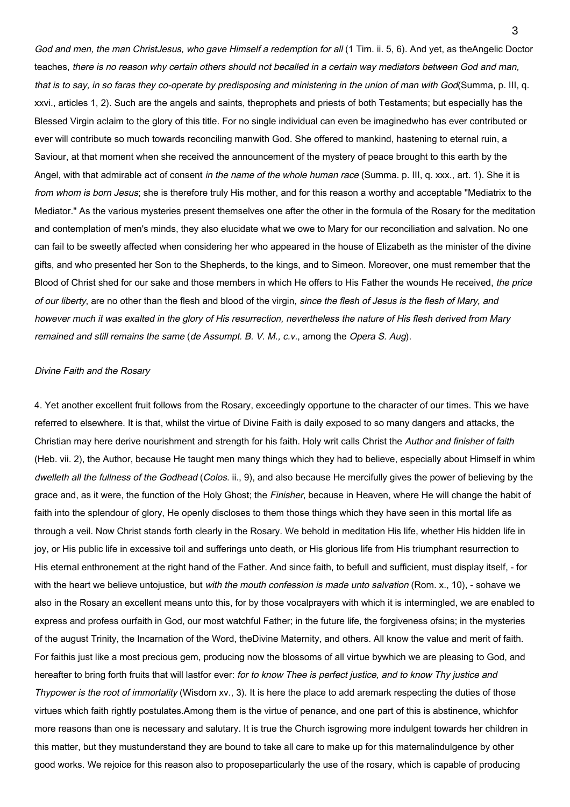God and men, the man ChristJesus, who gave Himself a redemption for all (1 Tim. ii. 5, 6). And yet, as theAngelic Doctor teaches, there is no reason why certain others should not becalled in a certain way mediators between God and man, that is to say, in so faras they co-operate by predisposing and ministering in the union of man with God(Summa, p. III, q. xxvi., articles 1, 2). Such are the angels and saints, theprophets and priests of both Testaments; but especially has the Blessed Virgin aclaim to the glory of this title. For no single individual can even be imaginedwho has ever contributed or ever will contribute so much towards reconciling manwith God. She offered to mankind, hastening to eternal ruin, a Saviour, at that moment when she received the announcement of the mystery of peace brought to this earth by the Angel, with that admirable act of consent in the name of the whole human race (Summa. p. III, q. xxx., art. 1). She it is from whom is born Jesus; she is therefore truly His mother, and for this reason a worthy and acceptable "Mediatrix to the Mediator." As the various mysteries present themselves one after the other in the formula of the Rosary for the meditation and contemplation of men's minds, they also elucidate what we owe to Mary for our reconciliation and salvation. No one can fail to be sweetly affected when considering her who appeared in the house of Elizabeth as the minister of the divine gifts, and who presented her Son to the Shepherds, to the kings, and to Simeon. Moreover, one must remember that the Blood of Christ shed for our sake and those members in which He offers to His Father the wounds He received, the price of our liberty, are no other than the flesh and blood of the virgin, since the flesh of Jesus is the flesh of Mary, and however much it was exalted in the glory of His resurrection, nevertheless the nature of His flesh derived from Mary remained and still remains the same (de Assumpt. B. V. M., c.v., among the Opera S. Aug).

## Divine Faith and the Rosary

4. Yet another excellent fruit follows from the Rosary, exceedingly opportune to the character of our times. This we have referred to elsewhere. It is that, whilst the virtue of Divine Faith is daily exposed to so many dangers and attacks, the Christian may here derive nourishment and strength for his faith. Holy writ calls Christ the Author and finisher of faith (Heb. vii. 2), the Author, because He taught men many things which they had to believe, especially about Himself in whim dwelleth all the fullness of the Godhead (Colos. ii., 9), and also because He mercifully gives the power of believing by the grace and, as it were, the function of the Holy Ghost; the Finisher, because in Heaven, where He will change the habit of faith into the splendour of glory, He openly discloses to them those things which they have seen in this mortal life as through a veil. Now Christ stands forth clearly in the Rosary. We behold in meditation His life, whether His hidden life in joy, or His public life in excessive toil and sufferings unto death, or His glorious life from His triumphant resurrection to His eternal enthronement at the right hand of the Father. And since faith, to befull and sufficient, must display itself, - for with the heart we believe untojustice, but with the mouth confession is made unto salvation (Rom. x., 10), - sohave we also in the Rosary an excellent means unto this, for by those vocalprayers with which it is intermingled, we are enabled to express and profess ourfaith in God, our most watchful Father; in the future life, the forgiveness ofsins; in the mysteries of the august Trinity, the Incarnation of the Word, theDivine Maternity, and others. All know the value and merit of faith. For faithis just like a most precious gem, producing now the blossoms of all virtue bywhich we are pleasing to God, and hereafter to bring forth fruits that will lastfor ever: for to know Thee is perfect justice, and to know Thy justice and Thypower is the root of immortality (Wisdom xv., 3). It is here the place to add aremark respecting the duties of those virtues which faith rightly postulates.Among them is the virtue of penance, and one part of this is abstinence, whichfor more reasons than one is necessary and salutary. It is true the Church isgrowing more indulgent towards her children in this matter, but they mustunderstand they are bound to take all care to make up for this maternalindulgence by other good works. We rejoice for this reason also to proposeparticularly the use of the rosary, which is capable of producing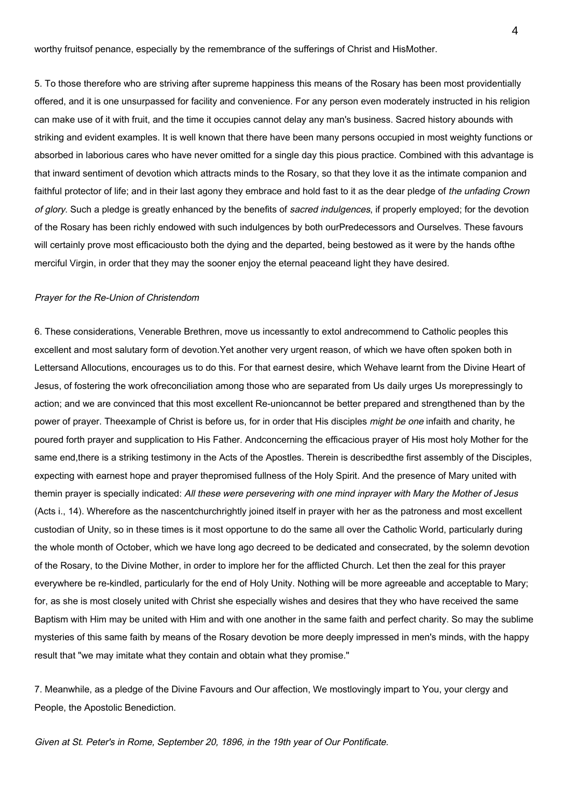worthy fruitsof penance, especially by the remembrance of the sufferings of Christ and HisMother.

5. To those therefore who are striving after supreme happiness this means of the Rosary has been most providentially offered, and it is one unsurpassed for facility and convenience. For any person even moderately instructed in his religion can make use of it with fruit, and the time it occupies cannot delay any man's business. Sacred history abounds with striking and evident examples. It is well known that there have been many persons occupied in most weighty functions or absorbed in laborious cares who have never omitted for a single day this pious practice. Combined with this advantage is that inward sentiment of devotion which attracts minds to the Rosary, so that they love it as the intimate companion and faithful protector of life; and in their last agony they embrace and hold fast to it as the dear pledge of the unfading Crown of glory. Such a pledge is greatly enhanced by the benefits of sacred indulgences, if properly employed; for the devotion of the Rosary has been richly endowed with such indulgences by both ourPredecessors and Ourselves. These favours will certainly prove most efficaciousto both the dying and the departed, being bestowed as it were by the hands ofthe merciful Virgin, in order that they may the sooner enjoy the eternal peaceand light they have desired.

### Prayer for the Re-Union of Christendom

6. These considerations, Venerable Brethren, move us incessantly to extol andrecommend to Catholic peoples this excellent and most salutary form of devotion.Yet another very urgent reason, of which we have often spoken both in Lettersand Allocutions, encourages us to do this. For that earnest desire, which Wehave learnt from the Divine Heart of Jesus, of fostering the work ofreconciliation among those who are separated from Us daily urges Us morepressingly to action; and we are convinced that this most excellent Re-unioncannot be better prepared and strengthened than by the power of prayer. Theexample of Christ is before us, for in order that His disciples *might be one* infaith and charity, he poured forth prayer and supplication to His Father. Andconcerning the efficacious prayer of His most holy Mother for the same end,there is a striking testimony in the Acts of the Apostles. Therein is describedthe first assembly of the Disciples, expecting with earnest hope and prayer thepromised fullness of the Holy Spirit. And the presence of Mary united with themin prayer is specially indicated: All these were persevering with one mind inprayer with Mary the Mother of Jesus (Acts i., 14). Wherefore as the nascentchurchrightly joined itself in prayer with her as the patroness and most excellent custodian of Unity, so in these times is it most opportune to do the same all over the Catholic World, particularly during the whole month of October, which we have long ago decreed to be dedicated and consecrated, by the solemn devotion of the Rosary, to the Divine Mother, in order to implore her for the afflicted Church. Let then the zeal for this prayer everywhere be re-kindled, particularly for the end of Holy Unity. Nothing will be more agreeable and acceptable to Mary; for, as she is most closely united with Christ she especially wishes and desires that they who have received the same Baptism with Him may be united with Him and with one another in the same faith and perfect charity. So may the sublime mysteries of this same faith by means of the Rosary devotion be more deeply impressed in men's minds, with the happy result that "we may imitate what they contain and obtain what they promise."

7. Meanwhile, as a pledge of the Divine Favours and Our affection, We mostlovingly impart to You, your clergy and People, the Apostolic Benediction.

Given at St. Peter's in Rome, September 20, 1896, in the 19th year of Our Pontificate.